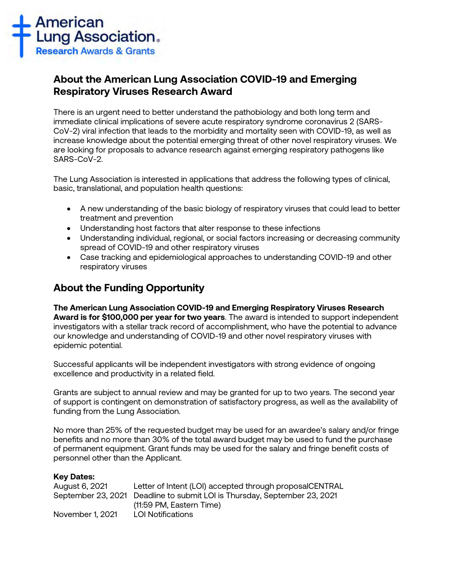

# **About the American Lung Association COVID-19 and Emerging Respiratory Viruses Research Award**

There is an urgent need to better understand the pathobiology and both long term and immediate clinical implications of severe acute respiratory syndrome coronavirus 2 (SARS-CoV-2) viral infection that leads to the morbidity and mortality seen with COVID-19, as well as increase knowledge about the potential emerging threat of other novel respiratory viruses. We are looking for proposals to advance research against emerging respiratory pathogens like SARS-CoV-2.

The Lung Association is interested in applications that address the following types of clinical, basic, translational, and population health questions:

- A new understanding of the basic biology of respiratory viruses that could lead to better treatment and prevention
- Understanding host factors that alter response to these infections
- Understanding individual, regional, or social factors increasing or decreasing community spread of COVID-19 and other respiratory viruses
- Case tracking and epidemiological approaches to understanding COVID-19 and other respiratory viruses

# **About the Funding Opportunity**

**The American Lung Association COVID-19 and Emerging Respiratory Viruses Research Award is for \$100,000 per year for two years**. The award is intended to support independent investigators with a stellar track record of accomplishment, who have the potential to advance our knowledge and understanding of COVID-19 and other novel respiratory viruses with epidemic potential.

Successful applicants will be independent investigators with strong evidence of ongoing excellence and productivity in a related field.

Grants are subject to annual review and may be granted for up to two years. The second year of support is contingent on demonstration of satisfactory progress, as well as the availability of funding from the Lung Association.

No more than 25% of the requested budget may be used for an awardee's salary and/or fringe benefits and no more than 30% of the total award budget may be used to fund the purchase of permanent equipment. Grant funds may be used for the salary and fringe benefit costs of personnel other than the Applicant.

#### **Key Dates:**

| August 6, 2021   | Letter of Intent (LOI) accepted through proposalCENTRAL                   |
|------------------|---------------------------------------------------------------------------|
|                  | September 23, 2021 Deadline to submit LOI is Thursday, September 23, 2021 |
|                  | (11:59 PM, Eastern Time)                                                  |
| November 1, 2021 | LOI Notifications                                                         |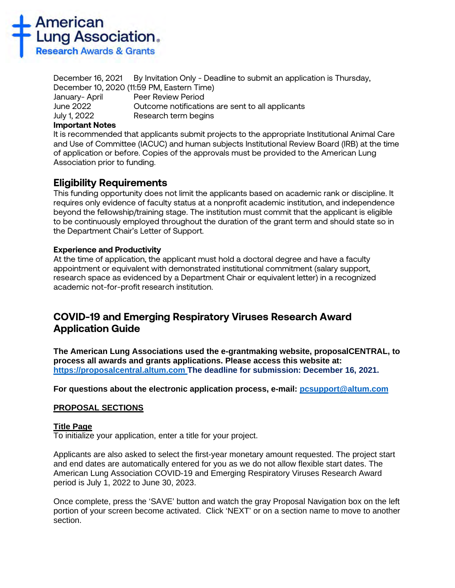

December 16, 2021 By Invitation Only - Deadline to submit an application is Thursday, December 10, 2020 (11:59 PM, Eastern Time) January- April Peer Review Period June 2022 Outcome notifications are sent to all applicants July 1, 2022 Research term begins

### **Important Notes**

It is recommended that applicants submit projects to the appropriate Institutional Animal Care and Use of Committee (IACUC) and human subjects Institutional Review Board (IRB) at the time of application or before. Copies of the approvals must be provided to the American Lung Association prior to funding.

# **Eligibility Requirements**

This funding opportunity does not limit the applicants based on academic rank or discipline. It requires only evidence of faculty status at a nonprofit academic institution, and independence beyond the fellowship/training stage. The institution must commit that the applicant is eligible to be continuously employed throughout the duration of the grant term and should state so in the Department Chair's Letter of Support.

# **Experience and Productivity**

At the time of application, the applicant must hold a doctoral degree and have a faculty appointment or equivalent with demonstrated institutional commitment (salary support, research space as evidenced by a Department Chair or equivalent letter) in a recognized academic not-for-profit research institution.

# **COVID-19 and Emerging Respiratory Viruses Research Award Application Guide**

**The American Lung Associations used the e-grantmaking website, proposalCENTRAL, to process all awards and grants applications. Please access this website at: [https://proposalcentral.altum.com](https://proposalcentral.altum.com/) The deadline for submission: December 16, 2021.** 

**For questions about the electronic application process, e-mail: [pcsupport@altum.com](mailto:PCSUPPORT@ALTUM.COM)** 

#### **PROPOSAL SECTIONS**

#### **Title Page**

To initialize your application, enter a title for your project.

Applicants are also asked to select the first-year monetary amount requested. The project start and end dates are automatically entered for you as we do not allow flexible start dates. The American Lung Association COVID-19 and Emerging Respiratory Viruses Research Award period is July 1, 2022 to June 30, 2023.

Once complete, press the 'SAVE' button and watch the gray Proposal Navigation box on the left portion of your screen become activated. Click 'NEXT' or on a section name to move to another section.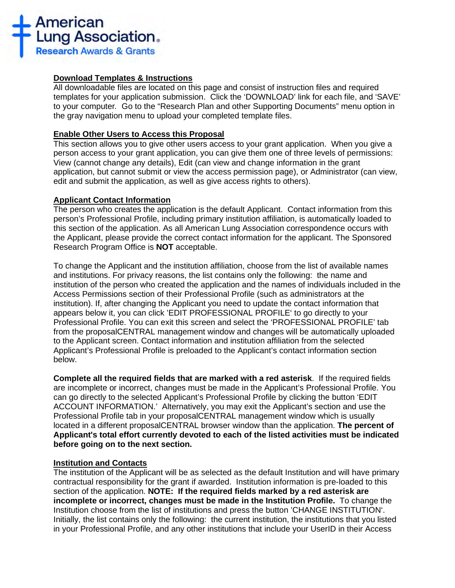

### **Download Templates & Instructions**

All downloadable files are located on this page and consist of instruction files and required templates for your application submission. Click the 'DOWNLOAD' link for each file, and 'SAVE' to your computer*.* Go to the "Research Plan and other Supporting Documents" menu option in the gray navigation menu to upload your completed template files.

### **Enable Other Users to Access this Proposal**

This section allows you to give other users access to your grant application. When you give a person access to your grant application, you can give them one of three levels of permissions: View (cannot change any details), Edit (can view and change information in the grant application, but cannot submit or view the access permission page), or Administrator (can view, edit and submit the application, as well as give access rights to others).

### **Applicant Contact Information**

The person who creates the application is the default Applicant. Contact information from this person's Professional Profile, including primary institution affiliation, is automatically loaded to this section of the application. As all American Lung Association correspondence occurs with the Applicant, please provide the correct contact information for the applicant. The Sponsored Research Program Office is **NOT** acceptable.

To change the Applicant and the institution affiliation, choose from the list of available names and institutions. For privacy reasons, the list contains only the following: the name and institution of the person who created the application and the names of individuals included in the Access Permissions section of their Professional Profile (such as administrators at the institution). If, after changing the Applicant you need to update the contact information that appears below it, you can click 'EDIT PROFESSIONAL PROFILE' to go directly to your Professional Profile. You can exit this screen and select the 'PROFESSIONAL PROFILE' tab from the proposalCENTRAL management window and changes will be automatically uploaded to the Applicant screen. Contact information and institution affiliation from the selected Applicant's Professional Profile is preloaded to the Applicant's contact information section below.

**Complete all the required fields that are marked with a red asterisk**.If the required fields are incomplete or incorrect, changes must be made in the Applicant's Professional Profile. You can go directly to the selected Applicant's Professional Profile by clicking the button 'EDIT ACCOUNT INFORMATION.' Alternatively, you may exit the Applicant's section and use the Professional Profile tab in your proposalCENTRAL management window which is usually located in a different proposalCENTRAL browser window than the application. **The percent of Applicant's total effort currently devoted to each of the listed activities must be indicated before going on to the next section.**

# **Institution and Contacts**

The institution of the Applicant will be as selected as the default Institution and will have primary contractual responsibility for the grant if awarded. Institution information is pre-loaded to this section of the application. **NOTE: If the required fields marked by a red asterisk are incomplete or incorrect, changes must be made in the Institution Profile.** To change the Institution choose from the list of institutions and press the button 'CHANGE INSTITUTION'. Initially, the list contains only the following: the current institution, the institutions that you listed in your Professional Profile, and any other institutions that include your UserID in their Access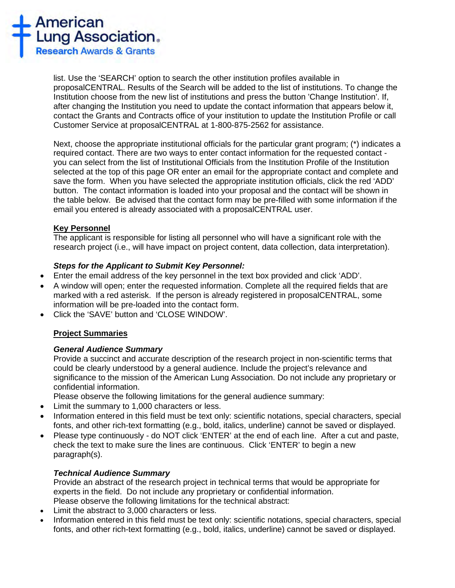

list. Use the 'SEARCH' option to search the other institution profiles available in proposalCENTRAL. Results of the Search will be added to the list of institutions. To change the Institution choose from the new list of institutions and press the button 'Change Institution'. If, after changing the Institution you need to update the contact information that appears below it, contact the Grants and Contracts office of your institution to update the Institution Profile or call Customer Service at proposalCENTRAL at 1-800-875-2562 for assistance.

Next, choose the appropriate institutional officials for the particular grant program; (\*) indicates a required contact. There are two ways to enter contact information for the requested contact you can select from the list of Institutional Officials from the Institution Profile of the Institution selected at the top of this page OR enter an email for the appropriate contact and complete and save the form. When you have selected the appropriate institution officials, click the red 'ADD' button. The contact information is loaded into your proposal and the contact will be shown in the table below. Be advised that the contact form may be pre-filled with some information if the email you entered is already associated with a proposalCENTRAL user.

# **Key Personnel**

The applicant is responsible for listing all personnel who will have a significant role with the research project (i.e., will have impact on project content, data collection, data interpretation).

### *Steps for the Applicant to Submit Key Personnel:*

- Enter the email address of the key personnel in the text box provided and click 'ADD'.
- A window will open; enter the requested information. Complete all the required fields that are marked with a red asterisk. If the person is already registered in proposalCENTRAL, some information will be pre-loaded into the contact form.
- Click the 'SAVE' button and 'CLOSE WINDOW'.

# **Project Summaries**

# *General Audience Summary*

Provide a succinct and accurate description of the research project in non-scientific terms that could be clearly understood by a general audience. Include the project's relevance and significance to the mission of the American Lung Association. Do not include any proprietary or confidential information.

Please observe the following limitations for the general audience summary:

- Limit the summary to 1,000 characters or less.
- Information entered in this field must be text only: scientific notations, special characters, special fonts, and other rich-text formatting (e.g., bold, italics, underline) cannot be saved or displayed.
- Please type continuously do NOT click 'ENTER' at the end of each line. After a cut and paste, check the text to make sure the lines are continuous. Click 'ENTER' to begin a new paragraph(s).

# *Technical Audience Summary*

Provide an abstract of the research project in technical terms that would be appropriate for experts in the field. Do not include any proprietary or confidential information. Please observe the following limitations for the technical abstract:

- Limit the abstract to 3,000 characters or less.
- Information entered in this field must be text only: scientific notations, special characters, special fonts, and other rich-text formatting (e.g., bold, italics, underline) cannot be saved or displayed.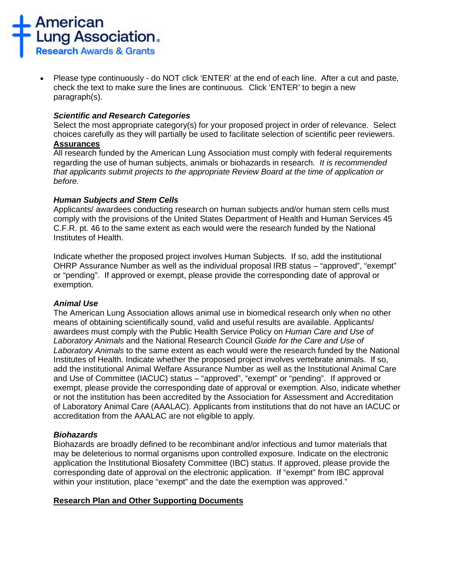

• Please type continuously - do NOT click 'ENTER' at the end of each line. After a cut and paste, check the text to make sure the lines are continuous. Click 'ENTER' to begin a new paragraph(s).

### *Scientific and Research Categories*

Select the most appropriate category(s) for your proposed project in order of relevance. Select choices carefully as they will partially be used to facilitate selection of scientific peer reviewers. **Assurances**

All research funded by the American Lung Association must comply with federal requirements regarding the use of human subjects, animals or biohazards in research. *It is recommended that applicants submit projects to the appropriate Review Board at the time of application or before.* 

### *Human Subjects and Stem Cells*

Applicants/ awardees conducting research on human subjects and/or human stem cells must comply with the provisions of the United States Department of Health and Human Services 45 C.F.R. pt. 46 to the same extent as each would were the research funded by the National Institutes of Health.

Indicate whether the proposed project involves Human Subjects. If so, add the institutional OHRP Assurance Number as well as the individual proposal IRB status – "approved", "exempt" or "pending". If approved or exempt, please provide the corresponding date of approval or exemption.

# *Animal Use*

The American Lung Association allows animal use in biomedical research only when no other means of obtaining scientifically sound, valid and useful results are available. Applicants/ awardees must comply with the Public Health Service Policy on *Human Care and Use of Laboratory Animals* and the National Research Council *Guide for the Care and Use of Laboratory Animals* to the same extent as each would were the research funded by the National Institutes of Health. Indicate whether the proposed project involves vertebrate animals. If so, add the institutional Animal Welfare Assurance Number as well as the Institutional Animal Care and Use of Committee (IACUC) status – "approved", "exempt" or "pending". If approved or exempt, please provide the corresponding date of approval or exemption. Also, indicate whether or not the institution has been accredited by the Association for Assessment and Accreditation of Laboratory Animal Care (AAALAC). Applicants from institutions that do not have an IACUC or accreditation from the AAALAC are not eligible to apply.

#### *Biohazards*

Biohazards are broadly defined to be recombinant and/or infectious and tumor materials that may be deleterious to normal organisms upon controlled exposure. Indicate on the electronic application the Institutional Biosafety Committee (IBC) status. If approved, please provide the corresponding date of approval on the electronic application. If "exempt" from IBC approval within your institution, place "exempt" and the date the exemption was approved."

# **Research Plan and Other Supporting Documents**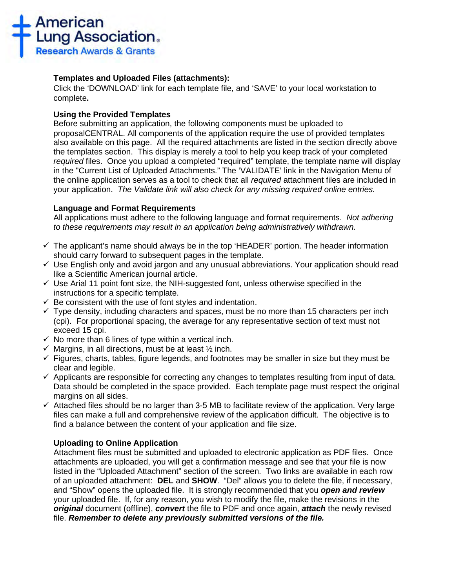

# **Templates and Uploaded Files (attachments):**

Click the 'DOWNLOAD' link for each template file, and 'SAVE' to your local workstation to complete**.**

# **Using the Provided Templates**

Before submitting an application, the following components must be uploaded to proposalCENTRAL. All components of the application require the use of provided templates also available on this page. All the required attachments are listed in the section directly above the templates section. This display is merely a tool to help you keep track of your completed *required* files. Once you upload a completed "required" template, the template name will display in the "Current List of Uploaded Attachments." The 'VALIDATE' link in the Navigation Menu of the online application serves as a tool to check that all *required* attachment files are included in your application. *The Validate link will also check for any missing required online entries.*

### **Language and Format Requirements**

All applications must adhere to the following language and format requirements. *Not adhering to these requirements may result in an application being administratively withdrawn.*

- $\checkmark$  The applicant's name should always be in the top 'HEADER' portion. The header information should carry forward to subsequent pages in the template.
- $\checkmark$  Use English only and avoid jargon and any unusual abbreviations. Your application should read like a Scientific American journal article.
- $\checkmark$  Use Arial 11 point font size, the NIH-suggested font, unless otherwise specified in the instructions for a specific template.
- $\checkmark$  Be consistent with the use of font styles and indentation.
- $\checkmark$  Type density, including characters and spaces, must be no more than 15 characters per inch (cpi). For proportional spacing, the average for any representative section of text must not exceed 15 cpi.
- $\checkmark$  No more than 6 lines of type within a vertical inch.
- $\checkmark$  Margins, in all directions, must be at least  $\frac{1}{2}$  inch.
- $\checkmark$  Figures, charts, tables, figure legends, and footnotes may be smaller in size but they must be clear and legible.
- $\checkmark$  Applicants are responsible for correcting any changes to templates resulting from input of data. Data should be completed in the space provided. Each template page must respect the original margins on all sides.
- $\checkmark$  Attached files should be no larger than 3-5 MB to facilitate review of the application. Very large files can make a full and comprehensive review of the application difficult. The objective is to find a balance between the content of your application and file size.

# **Uploading to Online Application**

Attachment files must be submitted and uploaded to electronic application as PDF files. Once attachments are uploaded, you will get a confirmation message and see that your file is now listed in the "Uploaded Attachment" section of the screen. Two links are available in each row of an uploaded attachment: **DEL** and **SHOW**. "Del" allows you to delete the file, if necessary, and "Show" opens the uploaded file. It is strongly recommended that you *open and review* your uploaded file. If, for any reason, you wish to modify the file, make the revisions in the *original* document (offline), *convert* the file to PDF and once again, *attach* the newly revised file. *Remember to delete any previously submitted versions of the file.*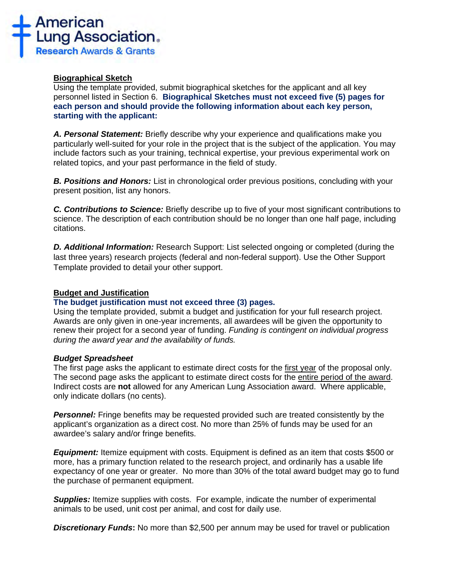

### **Biographical Sketch**

Using the template provided, submit biographical sketches for the applicant and all key personnel listed in Section 6. **Biographical Sketches must not exceed five (5) pages for each person and should provide the following information about each key person, starting with the applicant:**

*A. Personal Statement:* Briefly describe why your experience and qualifications make you particularly well-suited for your role in the project that is the subject of the application. You may include factors such as your training, technical expertise, your previous experimental work on related topics, and your past performance in the field of study.

*B. Positions and Honors:* List in chronological order previous positions, concluding with your present position, list any honors.

*C. Contributions to Science:* Briefly describe up to five of your most significant contributions to science. The description of each contribution should be no longer than one half page, including citations.

*D. Additional Information:* Research Support: List selected ongoing or completed (during the last three years) research projects (federal and non-federal support). Use the Other Support Template provided to detail your other support.

#### **Budget and Justification**

#### **The budget justification must not exceed three (3) pages.**

Using the template provided, submit a budget and justification for your full research project. Awards are only given in one-year increments, all awardees will be given the opportunity to renew their project for a second year of funding. *Funding is contingent on individual progress during the award year and the availability of funds.*

#### *Budget Spreadsheet*

The first page asks the applicant to estimate direct costs for the first year of the proposal only. The second page asks the applicant to estimate direct costs for the entire period of the award. Indirect costs are **not** allowed for any American Lung Association award. Where applicable, only indicate dollars (no cents).

**Personnel:** Fringe benefits may be requested provided such are treated consistently by the applicant's organization as a direct cost. No more than 25% of funds may be used for an awardee's salary and/or fringe benefits.

*Equipment:* Itemize equipment with costs. Equipment is defined as an item that costs \$500 or more, has a primary function related to the research project, and ordinarily has a usable life expectancy of one year or greater. No more than 30% of the total award budget may go to fund the purchase of permanent equipment.

**Supplies:** Itemize supplies with costs. For example, indicate the number of experimental animals to be used, unit cost per animal, and cost for daily use.

*Discretionary Funds***:** No more than \$2,500 per annum may be used for travel or publication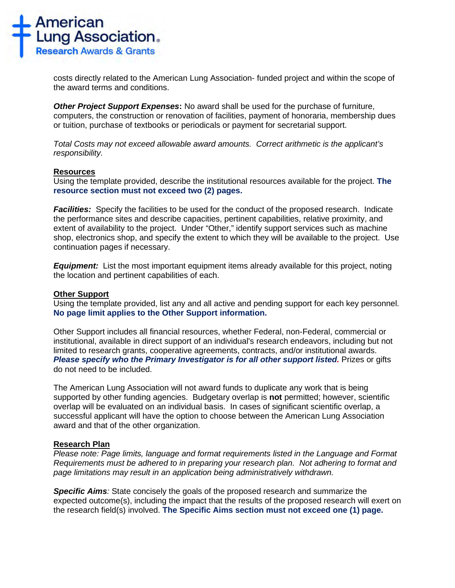

costs directly related to the American Lung Association- funded project and within the scope of the award terms and conditions.

*Other Project Support Expenses***:** No award shall be used for the purchase of furniture, computers, the construction or renovation of facilities, payment of honoraria, membership dues or tuition, purchase of textbooks or periodicals or payment for secretarial support.

*Total Costs may not exceed allowable award amounts. Correct arithmetic is the applicant's responsibility.*

#### **Resources**

Using the template provided, describe the institutional resources available for the project. **The resource section must not exceed two (2) pages.**

*Facilities:* Specify the facilities to be used for the conduct of the proposed research. Indicate the performance sites and describe capacities, pertinent capabilities, relative proximity, and extent of availability to the project. Under "Other," identify support services such as machine shop, electronics shop, and specify the extent to which they will be available to the project. Use continuation pages if necessary.

*Equipment:* List the most important equipment items already available for this project, noting the location and pertinent capabilities of each.

# **Other Support**

Using the template provided, list any and all active and pending support for each key personnel. **No page limit applies to the Other Support information.**

Other Support includes all financial resources, whether Federal, non-Federal, commercial or institutional, available in direct support of an individual's research endeavors, including but not limited to research grants, cooperative agreements, contracts, and/or institutional awards. **Please specify who the Primary Investigator is for all other support listed.** Prizes or gifts do not need to be included.

The American Lung Association will not award funds to duplicate any work that is being supported by other funding agencies. Budgetary overlap is **not** permitted; however, scientific overlap will be evaluated on an individual basis. In cases of significant scientific overlap, a successful applicant will have the option to choose between the American Lung Association award and that of the other organization.

#### **Research Plan**

*Please note: Page limits, language and format requirements listed in the Language and Format Requirements must be adhered to in preparing your research plan. Not adhering to format and page limitations may result in an application being administratively withdrawn.*

*Specific Aims:* State concisely the goals of the proposed research and summarize the expected outcome(s), including the impact that the results of the proposed research will exert on the research field(s) involved. **The Specific Aims section must not exceed one (1) page.**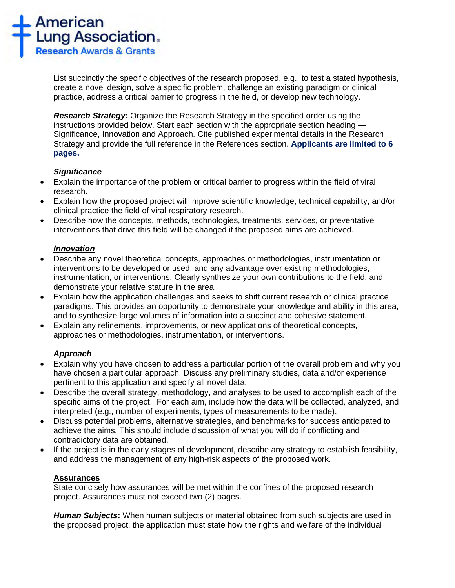

List succinctly the specific objectives of the research proposed, e.g., to test a stated hypothesis, create a novel design, solve a specific problem, challenge an existing paradigm or clinical practice, address a critical barrier to progress in the field, or develop new technology.

*Research Strategy***:** Organize the Research Strategy in the specified order using the instructions provided below. Start each section with the appropriate section heading — Significance, Innovation and Approach. Cite published experimental details in the Research Strategy and provide the full reference in the References section. **Applicants are limited to 6 pages.**

### *Significance*

- Explain the importance of the problem or critical barrier to progress within the field of viral research.
- Explain how the proposed project will improve scientific knowledge, technical capability, and/or clinical practice the field of viral respiratory research.
- Describe how the concepts, methods, technologies, treatments, services, or preventative interventions that drive this field will be changed if the proposed aims are achieved.

### *Innovation*

- Describe any novel theoretical concepts, approaches or methodologies, instrumentation or interventions to be developed or used, and any advantage over existing methodologies, instrumentation, or interventions. Clearly synthesize your own contributions to the field, and demonstrate your relative stature in the area.
- Explain how the application challenges and seeks to shift current research or clinical practice paradigms. This provides an opportunity to demonstrate your knowledge and ability in this area, and to synthesize large volumes of information into a succinct and cohesive statement.
- Explain any refinements, improvements, or new applications of theoretical concepts, approaches or methodologies, instrumentation, or interventions.

# *Approach*

- Explain why you have chosen to address a particular portion of the overall problem and why you have chosen a particular approach. Discuss any preliminary studies, data and/or experience pertinent to this application and specify all novel data.
- Describe the overall strategy, methodology, and analyses to be used to accomplish each of the specific aims of the project. For each aim, include how the data will be collected, analyzed, and interpreted (e.g., number of experiments, types of measurements to be made).
- Discuss potential problems, alternative strategies, and benchmarks for success anticipated to achieve the aims. This should include discussion of what you will do if conflicting and contradictory data are obtained.
- If the project is in the early stages of development, describe any strategy to establish feasibility, and address the management of any high-risk aspects of the proposed work.

# **Assurances**

State concisely how assurances will be met within the confines of the proposed research project. Assurances must not exceed two (2) pages.

*Human Subjects***:** When human subjects or material obtained from such subjects are used in the proposed project, the application must state how the rights and welfare of the individual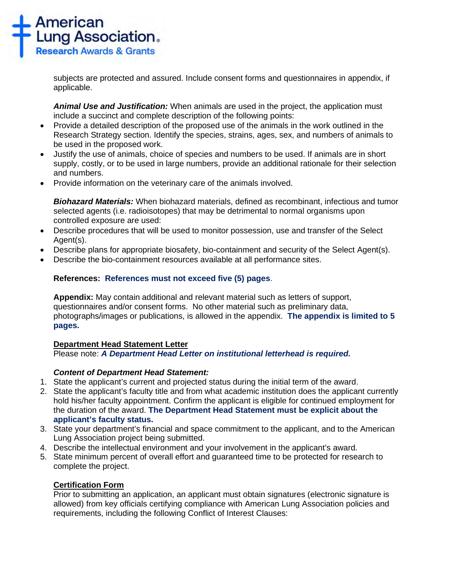

subjects are protected and assured. Include consent forms and questionnaires in appendix, if applicable.

*Animal Use and Justification:* When animals are used in the project, the application must include a succinct and complete description of the following points:

- Provide a detailed description of the proposed use of the animals in the work outlined in the Research Strategy section. Identify the species, strains, ages, sex, and numbers of animals to be used in the proposed work.
- Justify the use of animals, choice of species and numbers to be used. If animals are in short supply, costly, or to be used in large numbers, provide an additional rationale for their selection and numbers.
- Provide information on the veterinary care of the animals involved.

*Biohazard Materials:* When biohazard materials, defined as recombinant, infectious and tumor selected agents (i.e. radioisotopes) that may be detrimental to normal organisms upon controlled exposure are used:

- Describe procedures that will be used to monitor possession, use and transfer of the Select Agent(s).
- Describe plans for appropriate biosafety, bio-containment and security of the Select Agent(s).
- Describe the bio-containment resources available at all performance sites.

# **References: References must not exceed five (5) pages**.

**Appendix:** May contain additional and relevant material such as letters of support, questionnaires and/or consent forms. No other material such as preliminary data, photographs/images or publications, is allowed in the appendix. **The appendix is limited to 5 pages.**

#### **Department Head Statement Letter**

Please note: *A Department Head Letter on institutional letterhead is required.*

# *Content of Department Head Statement:*

- 1. State the applicant's current and projected status during the initial term of the award.
- 2. State the applicant's faculty title and from what academic institution does the applicant currently hold his/her faculty appointment. Confirm the applicant is eligible for continued employment for the duration of the award. **The Department Head Statement must be explicit about the applicant's faculty status.**
- 3. State your department's financial and space commitment to the applicant, and to the American Lung Association project being submitted.
- 4. Describe the intellectual environment and your involvement in the applicant's award.
- 5. State minimum percent of overall effort and guaranteed time to be protected for research to complete the project.

# **Certification Form**

Prior to submitting an application, an applicant must obtain signatures (electronic signature is allowed) from key officials certifying compliance with American Lung Association policies and requirements, including the following Conflict of Interest Clauses: